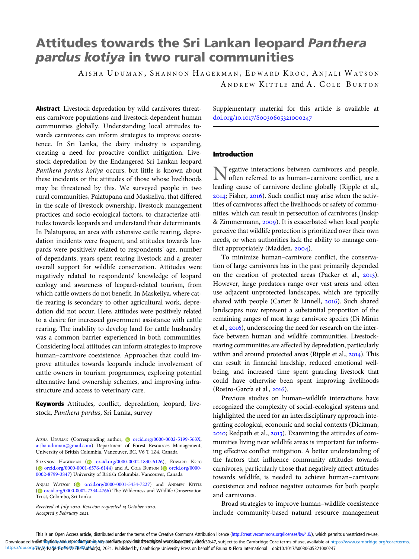# Attitudes towards the Sri Lankan leopard Panthera pardus kotiya in two rural communities

AISHA UDUMAN, SHANNON HAGERMAN, EDWARD KROC, ANJALI WATSON ANDREW KITTLE and A. COLE BURTON

Abstract Livestock depredation by wild carnivores threatens carnivore populations and livestock-dependent human communities globally. Understanding local attitudes towards carnivores can inform strategies to improve coexistence. In Sri Lanka, the dairy industry is expanding, creating a need for proactive conflict mitigation. Livestock depredation by the Endangered Sri Lankan leopard Panthera pardus kotiya occurs, but little is known about these incidents or the attitudes of those whose livelihoods may be threatened by this. We surveyed people in two rural communities, Palatupana and Maskeliya, that differed in the scale of livestock ownership, livestock management practices and socio-ecological factors, to characterize attitudes towards leopards and understand their determinants. In Palatupana, an area with extensive cattle rearing, depredation incidents were frequent, and attitudes towards leopards were positively related to respondents' age, number of dependants, years spent rearing livestock and a greater overall support for wildlife conservation. Attitudes were negatively related to respondents' knowledge of leopard ecology and awareness of leopard-related tourism, from which cattle owners do not benefit. In Maskeliya, where cattle rearing is secondary to other agricultural work, depredation did not occur. Here, attitudes were positively related to a desire for increased government assistance with cattle rearing. The inability to develop land for cattle husbandry was a common barrier experienced in both communities. Considering local attitudes can inform strategies to improve human–carnivore coexistence. Approaches that could improve attitudes towards leopards include involvement of cattle owners in tourism programmes, exploring potential alternative land ownership schemes, and improving infrastructure and access to veterinary care.

Keywords Attitudes, conflict, depredation, leopard, livestock, Panthera pardus, Sri Lanka, survey

AISHA UDUMAN (Corresponding author, C[orcid.org/0000-0002-5199-563X](https://orcid.org/0000-0002-5199-563X), [aisha.uduman@gmail.com\)](mailto:aisha.uduman@gmail.com) Department of Forest Resources Management, University of British Columbia, Vancouver, BC, V6 T 1Z4, Canada

SHANNON HAGERMAN ( [orcid.org/0000-0002-1830-6126](https://orcid.org/0000-0002-1830-6126)), EDWARD KROC ( $\odot$  [orcid.org/0000-0001-6576-6144\)](https://orcid.org/0000-0001-6576-6144) and A. Cole BURTON ( $\odot$  [orcid.org/0000-](https://orcid.org/0000-0002-8799-3847) [0002-8799-3847](https://orcid.org/0000-0002-8799-3847)) University of British Columbia, Vancouver, Canada

ANJALI WATSON [\(](https://orcid.org)iii) [orcid.org/0000-0001-5434-7227\)](https://orcid.org/0000-0001-5434-7227) and ANDREW KITTLE ( $\circ$  [orcid.org/0000-0002-7334-4766](https://orcid.org/0000-0002-7334-4766)) The Wilderness and Wildlife Conservation Trust, Colombo, Sri Lanka

Received 16 July 2020. Revision requested 13 October 2020. Accepted 5 February 2021.

Supplementary material for this article is available at doi.org/10.1017/S0030605321000247

## Introduction

 $\top$  egative interactions between carnivores and people, often referred to as human–carnivore conflict, are a leading cause of carnivore decline globally (Ripple et al.,  $2014$ ; Fisher,  $2016$ ). Such conflict may arise when the activities of carnivores affect the livelihoods or safety of communities, which can result in persecution of carnivores (Inskip & Zimmermann, 2009). It is exacerbated when local people perceive that wildlife protection is prioritized over their own needs, or when authorities lack the ability to manage conflict appropriately (Madden, 2004).

To minimize human–carnivore conflict, the conservation of large carnivores has in the past primarily depended on the creation of protected areas (Packer et al., 2013). However, large predators range over vast areas and often use adjacent unprotected landscapes, which are typically shared with people (Carter & Linnell, 2016). Such shared landscapes now represent a substantial proportion of the remaining ranges of most large carnivore species (Di Minin et al.,  $2016$ ), underscoring the need for research on the interface between human and wildlife communities. Livestockrearing communities are affected by depredation, particularly within and around protected areas (Ripple et al., 2014). This can result in financial hardship, reduced emotional wellbeing, and increased time spent guarding livestock that could have otherwise been spent improving livelihoods (Rostro-García et al., 2016).

Previous studies on human–wildlife interactions have recognized the complexity of social-ecological systems and highlighted the need for an interdisciplinary approach integrating ecological, economic and social contexts (Dickman,  $2010$ ; Redpath et al.,  $2013$ ). Examining the attitudes of communities living near wildlife areas is important for informing effective conflict mitigation. A better understanding of the factors that influence community attitudes towards carnivores, particularly those that negatively affect attitudes towards wildlife, is needed to achieve human–carnivore coexistence and reduce negative outcomes for both people and carnivores.

Broad strategies to improve human–wildlife coexistence include community-based natural resource management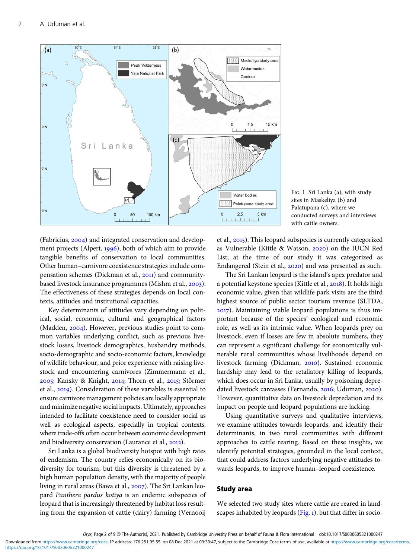<span id="page-1-0"></span>

FIG. 1 Sri Lanka (a), with study sites in Maskeliya (b) and Palatupana (c), where we conducted surveys and interviews with cattle owners.

(Fabricius,  $2004$ ) and integrated conservation and development projects (Alpert, 1996), both of which aim to provide tangible benefits of conservation to local communities. Other human–carnivore coexistence strategies include compensation schemes (Dickman et al., 2011) and communitybased livestock insurance programmes (Mishra et al., 2003). The effectiveness of these strategies depends on local contexts, attitudes and institutional capacities.

Key determinants of attitudes vary depending on political, social, economic, cultural and geographical factors (Madden,  $2004$ ). However, previous studies point to common variables underlying conflict, such as previous livestock losses, livestock demographics, husbandry methods, socio-demographic and socio-economic factors, knowledge of wildlife behaviour, and prior experience with raising livestock and encountering carnivores (Zimmermann et al., 2005; Kansky & Knight, 2014; Thorn et al., 2015; Störmer et al., 2019). Consideration of these variables is essential to ensure carnivore management policies are locally appropriate and minimize negative social impacts. Ultimately, approaches intended to facilitate coexistence need to consider social as well as ecological aspects, especially in tropical contexts, where trade-offs often occur between economic development and biodiversity conservation (Laurance et al., 2012).

Sri Lanka is a global biodiversity hotspot with high rates of endemism. The country relies economically on its biodiversity for tourism, but this diversity is threatened by a high human population density, with the majority of people living in rural areas (Bawa et al., 2007). The Sri Lankan leopard Panthera pardus kotiya is an endemic subspecies of leopard that is increasingly threatened by habitat loss resulting from the expansion of cattle (dairy) farming (Vernooij

et al., 2015). This leopard subspecies is currently categorized as Vulnerable (Kittle & Watson, 2020) on the IUCN Red List; at the time of our study it was categorized as Endangered (Stein et al., 2020) and was presented as such.

The Sri Lankan leopard is the island's apex predator and a potential keystone species (Kittle et al., 2018). It holds high economic value, given that wildlife park visits are the third highest source of public sector tourism revenue (SLTDA, ). Maintaining viable leopard populations is thus important because of the species' ecological and economic role, as well as its intrinsic value. When leopards prey on livestock, even if losses are few in absolute numbers, they can represent a significant challenge for economically vulnerable rural communities whose livelihoods depend on livestock farming (Dickman, 2010). Sustained economic hardship may lead to the retaliatory killing of leopards, which does occur in Sri Lanka, usually by poisoning depredated livestock carcasses (Fernando, 2016; Uduman, 2020). However, quantitative data on livestock depredation and its impact on people and leopard populations are lacking.

Using quantitative surveys and qualitative interviews, we examine attitudes towards leopards, and identify their determinants, in two rural communities with different approaches to cattle rearing. Based on these insights, we identify potential strategies, grounded in the local context, that could address factors underlying negative attitudes towards leopards, to improve human–leopard coexistence.

## Study area

We selected two study sites where cattle are reared in landscapes inhabited by leopards (Fig. 1), but that differ in socio-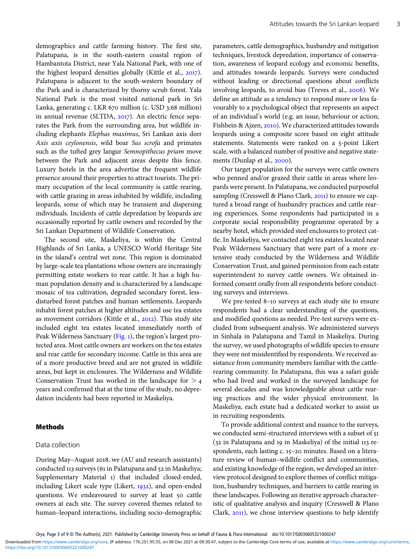demographics and cattle farming history. The first site, Palatupana, is in the south-eastern coastal region of Hambantota District, near Yala National Park, with one of the highest leopard densities globally (Kittle et al.,  $2017$ ). Palatupana is adjacent to the south-western boundary of the Park and is characterized by thorny scrub forest. Yala National Park is the most visited national park in Sri Lanka, generating c. LKR 670 million (c. USD 3.68 million) in annual revenue (SLTDA, 2017). An electric fence separates the Park from the surrounding area, but wildlife including elephants Elephas maximus, Sri Lankan axis deer Axis axis ceylonensis, wild boar Sus scrofa and primates such as the tufted grey langur Semnopithecus priam move between the Park and adjacent areas despite this fence. Luxury hotels in the area advertise the frequent wildlife presence around their properties to attract tourists. The primary occupation of the local community is cattle rearing, with cattle grazing in areas inhabited by wildlife, including leopards, some of which may be transient and dispersing individuals. Incidents of cattle depredation by leopards are occasionally reported by cattle owners and recorded by the Sri Lankan Department of Wildlife Conservation.

The second site, Maskeliya, is within the Central Highlands of Sri Lanka, a UNESCO World Heritage Site in the island's central wet zone. This region is dominated by large-scale tea plantations whose owners are increasingly permitting estate workers to rear cattle. It has a high human population density and is characterized by a landscape mosaic of tea cultivation, degraded secondary forest, lessdisturbed forest patches and human settlements. Leopards inhabit forest patches at higher altitudes and use tea estates as movement corridors (Kittle et al., 2012). This study site included eight tea estates located immediately north of Peak Wilderness Sanctuary ([Fig.](#page-1-0) 1), the region's largest protected area. Most cattle owners are workers on the tea estates and rear cattle for secondary income. Cattle in this area are of a more productive breed and are not grazed in wildlife areas, but kept in enclosures. The Wilderness and Wildlife Conservation Trust has worked in the landscape for  $>$  4 years and confirmed that at the time of the study, no depredation incidents had been reported in Maskeliya.

# Methods

#### Data collection

During May-August 2018, we (AU and research assistants) conducted 113 surveys (61 in Palatupana and 52 in Maskeliya; Supplementary Material 1) that included closed-ended, including Likert scale type (Likert,  $1932$ ), and open-ended questions. We endeavoured to survey at least 50 cattle owners at each site. The survey covered themes related to human–leopard interactions, including socio-demographic parameters, cattle demographics, husbandry and mitigation techniques, livestock depredation, importance of conservation, awareness of leopard ecology and economic benefits, and attitudes towards leopards. Surveys were conducted without leading or directional questions about conflicts involving leopards, to avoid bias (Treves et al., 2006). We define an attitude as a tendency to respond more or less favourably to a psychological object that represents an aspect of an individual's world (e.g. an issue, behaviour or action; Fishbein & Ajzen, 2010). We characterized attitudes towards leopards using a composite score based on eight attitude statements. Statements were ranked on a 5-point Likert scale, with a balanced number of positive and negative statements (Dunlap et al., 2000).

Our target population for the surveys were cattle owners who penned and/or grazed their cattle in areas where leopards were present. In Palatupana, we conducted purposeful sampling (Cresswell & Plano Clark, 2011) to ensure we captured a broad range of husbandry practices and cattle rearing experiences. Some respondents had participated in a corporate social responsibility programme operated by a nearby hotel, which provided steel enclosures to protect cattle. In Maskeliya, we contacted eight tea estates located near Peak Wilderness Sanctuary that were part of a more extensive study conducted by the Wilderness and Wildlife Conservation Trust, and gained permission from each estate superintendent to survey cattle owners. We obtained informed consent orally from all respondents before conducting surveys and interviews.

We pre-tested 8-10 surveys at each study site to ensure respondents had a clear understanding of the questions, and modified questions as needed. Pre-test surveys were excluded from subsequent analysis. We administered surveys in Sinhala in Palatupana and Tamil in Maskeliya. During the survey, we used photographs of wildlife species to ensure they were not misidentified by respondents. We received assistance from community members familiar with the cattlerearing community. In Palatupana, this was a safari guide who had lived and worked in the surveyed landscape for several decades and was knowledgeable about cattle rearing practices and the wider physical environment. In Maskeliya, each estate had a dedicated worker to assist us in recruiting respondents.

To provide additional context and nuance to the surveys, we conducted semi-structured interviews with a subset of 51  $(32$  in Palatupana and 19 in Maskeliya) of the initial 113 respondents, each lasting c. 15-20 minutes. Based on a literature review of human–wildlife conflict and communities, and existing knowledge of the region, we developed an interview protocol designed to explore themes of conflict mitigation, husbandry techniques, and barriers to cattle rearing in these landscapes. Following an iterative approach characteristic of qualitative analysis and inquiry (Cresswell & Plano Clark,  $2011$ ), we chose interview questions to help identify

<https://doi.org/10.1017/S0030605321000247> Downloaded from<https://www.cambridge.org/core>. IP address: 176.251.95.55, on 08 Dec 2021 at 09:30:47, subject to the Cambridge Core terms of use, available at <https://www.cambridge.org/core/terms>.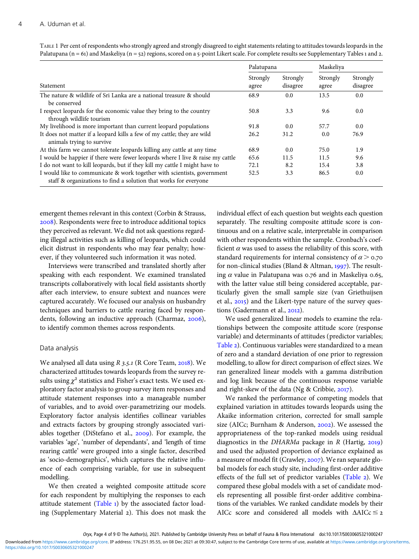| Palatupana                                                                                                                                  |                   | Maskeliya            |                   |                      |
|---------------------------------------------------------------------------------------------------------------------------------------------|-------------------|----------------------|-------------------|----------------------|
| Statement                                                                                                                                   | Strongly<br>agree | Strongly<br>disagree | Strongly<br>agree | Strongly<br>disagree |
| The nature & wildlife of Sri Lanka are a national treasure & should<br>be conserved                                                         | 68.9              | 0.0                  | 13.5              | 0.0                  |
| I respect leopards for the economic value they bring to the country<br>through wildlife tourism                                             | 50.8              | 3.3                  | 9.6               | 0.0                  |
| My livelihood is more important than current leopard populations                                                                            | 91.8              | 0.0                  | 57.7              | 0.0                  |
| It does not matter if a leopard kills a few of my cattle; they are wild<br>animals trying to survive                                        | 26.2              | 31.2                 | 0.0               | 76.9                 |
| At this farm we cannot tolerate leopards killing any cattle at any time                                                                     | 68.9              | 0.0                  | 75.0              | 1.9                  |
| I would be happier if there were fewer leopards where I live & raise my cattle                                                              | 65.6              | 11.5                 | 11.5              | 9.6                  |
| I do not want to kill leopards, but if they kill my cattle I might have to                                                                  | 72.1              | 8.2                  | 15.4              | 3.8                  |
| I would like to communicate & work together with scientists, government<br>staff & organizations to find a solution that works for everyone | 52.5              | 3.3                  | 86.5              | 0.0                  |

<span id="page-3-0"></span>TABLE 1 Per cent of respondents who strongly agreed and strongly disagreed to eight statements relating to attitudes towards leopards in the Palatupana ( $n = 61$ ) and Maskeliya ( $n = 52$ ) regions, scored on a 5-point Likert scale. For complete results see Supplementary Tables 1 and 2.

emergent themes relevant in this context (Corbin & Strauss, ). Respondents were free to introduce additional topics they perceived as relevant. We did not ask questions regarding illegal activities such as killing of leopards, which could elicit distrust in respondents who may fear penalty; however, if they volunteered such information it was noted.

Interviews were transcribed and translated shortly after speaking with each respondent. We examined translated transcripts collaboratively with local field assistants shortly after each interview, to ensure subtext and nuances were captured accurately. We focused our analysis on husbandry techniques and barriers to cattle rearing faced by respondents, following an inductive approach (Charmaz, 2006), to identify common themes across respondents.

## Data analysis

We analysed all data using  $R$  3.5.1 (R Core Team, 2018). We characterized attitudes towards leopards from the survey results using  $\chi^2$  statistics and Fisher's exact tests. We used exploratory factor analysis to group survey item responses and attitude statement responses into a manageable number of variables, and to avoid over-parametrizing our models. Exploratory factor analysis identifies collinear variables and extracts factors by grouping strongly associated variables together (DiStefano et al.,  $2009$ ). For example, the variables 'age', 'number of dependants', and 'length of time rearing cattle' were grouped into a single factor, described as 'socio-demographics', which captures the relative influence of each comprising variable, for use in subsequent modelling.

We then created a weighted composite attitude score for each respondent by multiplying the responses to each attitude statement (Table 1) by the associated factor loading (Supplementary Material 2). This does not mask the individual effect of each question but weights each question separately. The resulting composite attitude score is continuous and on a relative scale, interpretable in comparison with other respondents within the sample. Cronbach's coefficient  $\alpha$  was used to assess the reliability of this score, with standard requirements for internal consistency of  $\alpha$  > 0.70 for non-clinical studies (Bland & Altman, 1997). The resulting  $\alpha$  value in Palatupana was 0.76 and in Maskeliya 0.65, with the latter value still being considered acceptable, particularly given the small sample size (van Griethuijsen et al., 2015) and the Likert-type nature of the survey questions (Gadermann et al., 2012).

We used generalized linear models to examine the relationships between the composite attitude score (response variable) and determinants of attitudes (predictor variables; [Table](#page-4-0) 2). Continuous variables were standardized to a mean of zero and a standard deviation of one prior to regression modelling, to allow for direct comparison of effect sizes. We ran generalized linear models with a gamma distribution and log link because of the continuous response variable and right-skew of the data (Ng & Cribbie,  $2017$ ).

We ranked the performance of competing models that explained variation in attitudes towards leopards using the Akaike information criterion, corrected for small sample size (AICc; Burnham & Anderson,  $2002$ ). We assessed the appropriateness of the top-ranked models using residual diagnostics in the  $DHARMa$  package in R (Hartig, 2019) and used the adjusted proportion of deviance explained as a measure of model fit (Crawley, 2007). We ran separate global models for each study site, including first-order additive effects of the full set of predictor variables ([Table](#page-4-0) 2). We compared these global models with a set of candidate models representing all possible first-order additive combinations of the variables. We ranked candidate models by their AICc score and considered all models with  $\triangle AICc \leq z$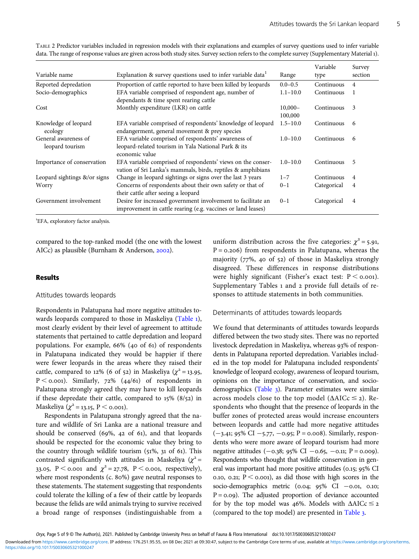|                                         |                                                                                                                              |                       | Variable    | Survey         |
|-----------------------------------------|------------------------------------------------------------------------------------------------------------------------------|-----------------------|-------------|----------------|
| Variable name                           | Explanation & survey questions used to infer variable data                                                                   | Range                 | type        | section        |
| Reported depredation                    | Proportion of cattle reported to have been killed by leopards                                                                | $0.0 - 0.5$           | Continuous  | $\overline{4}$ |
| Socio-demographics                      | EFA variable comprised of respondent age, number of<br>dependants & time spent rearing cattle                                | $1.1 - 10.0$          | Continuous  | 1              |
| Cost                                    | Monthly expenditure (LKR) on cattle                                                                                          | $10,000 -$<br>100,000 | Continuous  | 3              |
| Knowledge of leopard<br>ecology         | EFA variable comprised of respondents' knowledge of leopard<br>endangerment, general movement & prey species                 | $1.5 - 10.0$          | Continuous  | 6              |
| General awareness of<br>leopard tourism | EFA variable comprised of respondents' awareness of<br>leopard-related tourism in Yala National Park & its<br>economic value | $1.0 - 10.0$          | Continuous  | 6              |
| Importance of conservation              | EFA variable comprised of respondents' views on the conser-<br>vation of Sri Lanka's mammals, birds, reptiles & amphibians   | $1.0 - 10.0$          | Continuous  | 5              |
| Leopard sightings &/or signs            | Change in leopard sightings or signs over the last 3 years                                                                   | $1 - 7$               | Continuous  | 4              |
| Worry                                   | Concerns of respondents about their own safety or that of<br>their cattle after seeing a leopard                             | $0 - 1$               | Categorical | 4              |
| Government involvement                  | Desire for increased government involvement to facilitate an<br>improvement in cattle rearing (e.g. vaccines or land leases) | $0 - 1$               | Categorical | 4              |

<span id="page-4-0"></span>TABLE 2 Predictor variables included in regression models with their explanations and examples of survey questions used to infer variable data. The range of response values are given across both study sites. Survey section refers to the complete survey (Supplementary Material ).

EFA, exploratory factor analysis.

compared to the top-ranked model (the one with the lowest AICc) as plausible (Burnham & Anderson, 2002).

#### Results

#### Attitudes towards leopards

Respondents in Palatupana had more negative attitudes to-wards leopards compared to those in Maskeliya [\(Table](#page-3-0) 1), most clearly evident by their level of agreement to attitude statements that pertained to cattle depredation and leopard populations. For example,  $66\%$  (40 of 61) of respondents in Palatupana indicated they would be happier if there were fewer leopards in the areas where they raised their cattle, compared to 12% (6 of 52) in Maskeliya ( $\chi^2$  = 13.95,  $P < 0.001$ ). Similarly, 72% (44/61) of respondents in Palatupana strongly agreed they may have to kill leopards if these depredate their cattle, compared to  $15\%$  (8/52) in Maskeliya ( $\chi^2$  = 13.15, P < 0.001).

Respondents in Palatupana strongly agreed that the nature and wildlife of Sri Lanka are a national treasure and should be conserved  $(69\%, 42 \text{ of } 61)$ , and that leopards should be respected for the economic value they bring to the country through wildlife tourism  $(51\%, 31 \text{ of } 61)$ . This contrasted significantly with attitudes in Maskeliya ( $\chi^2$  = 33.05, P < 0.001 and  $\chi^2$  = 27.78, P < 0.001, respectively), where most respondents (c. 80%) gave neutral responses to these statements. The statement suggesting that respondents could tolerate the killing of a few of their cattle by leopards because the felids are wild animals trying to survive received a broad range of responses (indistinguishable from a uniform distribution across the five categories:  $\chi^2$  = 5.91,  $P = 0.206$ ) from respondents in Palatupana, whereas the majority (77%, 40 of 52) of those in Maskeliya strongly disagreed. These differences in response distributions were highly significant (Fisher's exact test:  $P < 0.001$ ). Supplementary Tables 1 and 2 provide full details of responses to attitude statements in both communities.

#### Determinants of attitudes towards leopards

We found that determinants of attitudes towards leopards differed between the two study sites. There was no reported livestock depredation in Maskeliya, whereas 93% of respondents in Palatupana reported depredation. Variables included in the top model for Palatupana included respondents' knowledge of leopard ecology, awareness of leopard tourism, opinions on the importance of conservation, and socio-demographics [\(Table](#page-5-0) 3). Parameter estimates were similar across models close to the top model ( $\triangle AICc \leq 2$ ). Respondents who thought that the presence of leopards in the buffer zones of protected areas would increase encounters between leopards and cattle had more negative attitudes  $(-3.41; 95\% \text{ CI} -5.77, -0.95; P= 0.008)$ . Similarly, respondents who were more aware of leopard tourism had more negative attitudes (-o.38; 95% CI -o.65, -o.11; P = 0.009). Respondents who thought that wildlife conservation in general was important had more positive attitudes (0.15; 95% CI 0.10, 0.21;  $P \le 0.001$ ), as did those with high scores in the socio-demographics metric ( $0.04$ ;  $95\%$  CI  $-0.01$ , 0.10;  $P = 0.09$ ). The adjusted proportion of deviance accounted for by the top model was 46%. Models with  $\triangle AICc \leq 2$ (compared to the top model) are presented in [Table](#page-5-0) 3.

Oryx, Page 5 of 9 © The Author(s), 2021. Published by Cambridge University Press on behalf of Fauna & Flora International doi:10.1017/S0030605321000247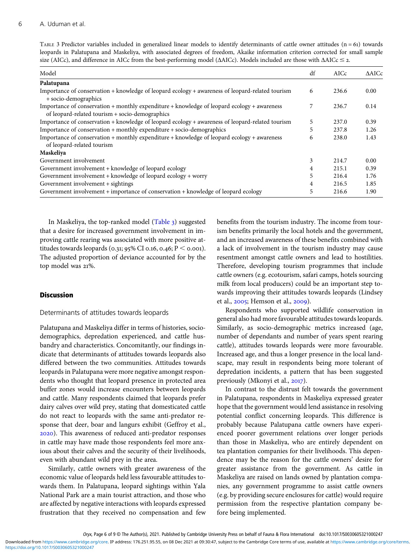<span id="page-5-0"></span>TABLE 3 Predictor variables included in generalized linear models to identify determinants of cattle owner attitudes  $(n = 61)$  towards leopards in Palatupana and Maskeliya, with associated degrees of freedom, Akaike information criterion corrected for small sample size (AICc), and difference in AICc from the best-performing model ( $\Delta AICc$ ). Models included are those with  $\Delta AICc \leq 2$ .

| Model                                                                                                                                          | df | AICc  | $\triangle$ AICc |
|------------------------------------------------------------------------------------------------------------------------------------------------|----|-------|------------------|
| Palatupana                                                                                                                                     |    |       |                  |
| Importance of conservation $+$ knowledge of leopard ecology $+$ awareness of leopard-related tourism<br>+ socio-demographics                   | 6  | 236.6 | 0.00             |
| Importance of conservation + monthly expenditure + knowledge of leopard ecology + awareness<br>of leopard-related tourism + socio-demographics |    | 236.7 | 0.14             |
| Importance of conservation + knowledge of leopard ecology + awareness of leopard-related tourism                                               | 5  | 237.0 | 0.39             |
| Importance of conservation + monthly expenditure + socio-demographics                                                                          | 5  | 237.8 | 1.26             |
| Importance of conservation + monthly expenditure + knowledge of leopard ecology + awareness<br>of leopard-related tourism                      | 6  | 238.0 | 1.43             |
| Maskeliya                                                                                                                                      |    |       |                  |
| Government involvement                                                                                                                         | 3  | 214.7 | 0.00             |
| Government involvement + knowledge of leopard ecology                                                                                          | 4  | 215.1 | 0.39             |
| Government involvement $+$ knowledge of leopard ecology $+$ worry                                                                              | 5  | 216.4 | 1.76             |
| Government involvement + sightings                                                                                                             | 4  | 216.5 | 1.85             |
| Government involvement + importance of conservation + knowledge of leopard ecology                                                             | 5  | 216.6 | 1.90             |

In Maskeliya, the top-ranked model (Table 3) suggested that a desire for increased government involvement in improving cattle rearing was associated with more positive attitudes towards leopards (0.31; 95% CI 0.16, 0.46;  $P <$  0.001). The adjusted proportion of deviance accounted for by the top model was 21%.

## **Discussion**

#### Determinants of attitudes towards leopards

Palatupana and Maskeliya differ in terms of histories, sociodemographics, depredation experienced, and cattle husbandry and characteristics. Concomitantly, our findings indicate that determinants of attitudes towards leopards also differed between the two communities. Attitudes towards leopards in Palatupana were more negative amongst respondents who thought that leopard presence in protected area buffer zones would increase encounters between leopards and cattle. Many respondents claimed that leopards prefer dairy calves over wild prey, stating that domesticated cattle do not react to leopards with the same anti-predator response that deer, boar and langurs exhibit (Geffroy et al., ). This awareness of reduced anti-predator responses in cattle may have made those respondents feel more anxious about their calves and the security of their livelihoods, even with abundant wild prey in the area.

Similarly, cattle owners with greater awareness of the economic value of leopards held less favourable attitudes towards them. In Palatupana, leopard sightings within Yala National Park are a main tourist attraction, and those who are affected by negative interactions with leopards expressed frustration that they received no compensation and few

benefits from the tourism industry. The income from tourism benefits primarily the local hotels and the government, and an increased awareness of these benefits combined with a lack of involvement in the tourism industry may cause resentment amongst cattle owners and lead to hostilities. Therefore, developing tourism programmes that include cattle owners (e.g. ecotourism, safari camps, hotels sourcing milk from local producers) could be an important step towards improving their attitudes towards leopards (Lindsey et al., 2005; Hemson et al., 2009).

Respondents who supported wildlife conservation in general also had more favourable attitudes towards leopards. Similarly, as socio-demographic metrics increased (age, number of dependants and number of years spent rearing cattle), attitudes towards leopards were more favourable. Increased age, and thus a longer presence in the local landscape, may result in respondents being more tolerant of depredation incidents, a pattern that has been suggested previously (Mkonyi et al., 2017).

In contrast to the distrust felt towards the government in Palatupana, respondents in Maskeliya expressed greater hope that the government would lend assistance in resolving potential conflict concerning leopards. This difference is probably because Palatupana cattle owners have experienced poorer government relations over longer periods than those in Maskeliya, who are entirely dependent on tea plantation companies for their livelihoods. This dependence may be the reason for the cattle owners' desire for greater assistance from the government. As cattle in Maskeliya are raised on lands owned by plantation companies, any government programme to assist cattle owners (e.g. by providing secure enclosures for cattle) would require permission from the respective plantation company before being implemented.

Oryx, Page 6 of 9 © The Author(s), 2021. Published by Cambridge University Press on behalf of Fauna & Flora International doi:10.1017/S0030605321000247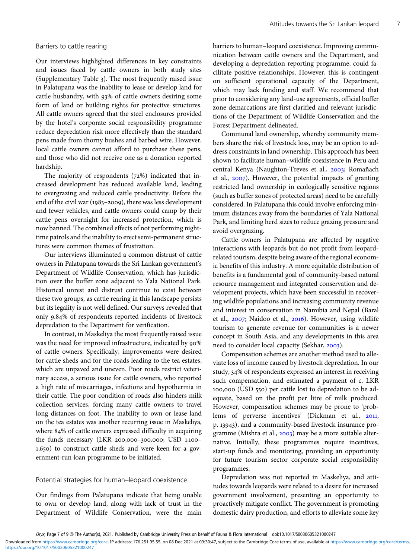#### Barriers to cattle rearing

Our interviews highlighted differences in key constraints and issues faced by cattle owners in both study sites (Supplementary Table ). The most frequently raised issue in Palatupana was the inability to lease or develop land for cattle husbandry, with 93% of cattle owners desiring some form of land or building rights for protective structures. All cattle owners agreed that the steel enclosures provided by the hotel's corporate social responsibility programme reduce depredation risk more effectively than the standard pens made from thorny bushes and barbed wire. However, local cattle owners cannot afford to purchase these pens, and those who did not receive one as a donation reported hardship.

The majority of respondents  $(72%)$  indicated that increased development has reduced available land, leading to overgrazing and reduced cattle productivity. Before the end of the civil war (1983-2009), there was less development and fewer vehicles, and cattle owners could camp by their cattle pens overnight for increased protection, which is now banned. The combined effects of not performing nighttime patrols and the inability to erect semi-permanent structures were common themes of frustration.

Our interviews illuminated a common distrust of cattle owners in Palatupana towards the Sri Lankan government's Department of Wildlife Conservation, which has jurisdiction over the buffer zone adjacent to Yala National Park. Historical unrest and distrust continue to exist between these two groups, as cattle rearing in this landscape persists but its legality is not well defined. Our surveys revealed that only 9.84% of respondents reported incidents of livestock depredation to the Department for verification.

In contrast, in Maskeliya the most frequently raised issue was the need for improved infrastructure, indicated by 90% of cattle owners. Specifically, improvements were desired for cattle sheds and for the roads leading to the tea estates, which are unpaved and uneven. Poor roads restrict veterinary access, a serious issue for cattle owners, who reported a high rate of miscarriages, infections and hypothermia in their cattle. The poor condition of roads also hinders milk collection services, forcing many cattle owners to travel long distances on foot. The inability to own or lease land on the tea estates was another recurring issue in Maskeliya, where 84% of cattle owners expressed difficulty in acquiring the funds necessary (LKR 200,000-300,000; USD 1,100-1,650) to construct cattle sheds and were keen for a government-run loan programme to be initiated.

## Potential strategies for human–leopard coexistence

Our findings from Palatupana indicate that being unable to own or develop land, along with lack of trust in the Department of Wildlife Conservation, were the main

barriers to human–leopard coexistence. Improving communication between cattle owners and the Department, and developing a depredation reporting programme, could facilitate positive relationships. However, this is contingent on sufficient operational capacity of the Department, which may lack funding and staff. We recommend that prior to considering any land-use agreements, official buffer zone demarcations are first clarified and relevant jurisdictions of the Department of Wildlife Conservation and the Forest Department delineated.

Communal land ownership, whereby community members share the risk of livestock loss, may be an option to address constraints in land ownership. This approach has been shown to facilitate human–wildlife coexistence in Peru and central Kenya (Naughton-Treves et al., 2003; Romañach et al.,  $2007$ ). However, the potential impacts of granting restricted land ownership in ecologically sensitive regions (such as buffer zones of protected areas) need to be carefully considered. In Palatupana this could involve enforcing minimum distances away from the boundaries of Yala National Park, and limiting herd sizes to reduce grazing pressure and avoid overgrazing.

Cattle owners in Palatupana are affected by negative interactions with leopards but do not profit from leopardrelated tourism, despite being aware of the regional economic benefits of this industry. A more equitable distribution of benefits is a fundamental goal of community-based natural resource management and integrated conservation and development projects, which have been successful in recovering wildlife populations and increasing community revenue and interest in conservation in Namibia and Nepal (Baral et al., 2007; Naidoo et al., 2016). However, using wildlife tourism to generate revenue for communities is a newer concept in South Asia, and any developments in this area need to consider local capacity (Sekhar, 2003).

Compensation schemes are another method used to alleviate loss of income caused by livestock depredation. In our study, 34% of respondents expressed an interest in receiving such compensation, and estimated a payment of c. LKR 100,000 (USD 550) per cattle lost to depredation to be adequate, based on the profit per litre of milk produced. However, compensation schemes may be prone to 'problems of perverse incentives' (Dickman et al., 2011, p. 13943), and a community-based livestock insurance programme (Mishra et al.,  $2003$ ) may be a more suitable alternative. Initially, these programmes require incentives, start-up funds and monitoring, providing an opportunity for future tourism sector corporate social responsibility programmes.

Depredation was not reported in Maskeliya, and attitudes towards leopards were related to a desire for increased government involvement, presenting an opportunity to proactively mitigate conflict. The government is promoting domestic dairy production, and efforts to alleviate some key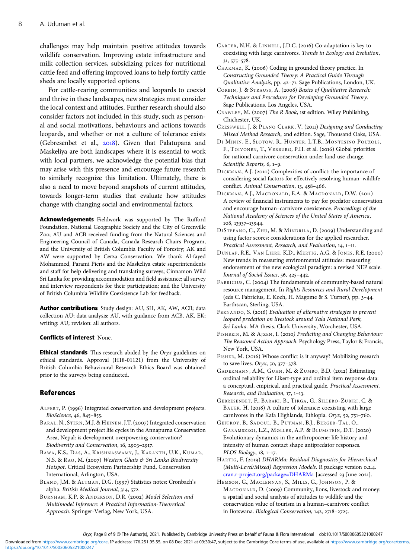<span id="page-7-0"></span>challenges may help maintain positive attitudes towards wildlife conservation. Improving estate infrastructure and milk collection services, subsidizing prices for nutritional cattle feed and offering improved loans to help fortify cattle sheds are locally supported options.

For cattle-rearing communities and leopards to coexist and thrive in these landscapes, new strategies must consider the local context and attitudes. Further research should also consider factors not included in this study, such as personal and social motivations, behaviours and actions towards leopards, and whether or not a culture of tolerance exists (Gebresenbet et al., 2018). Given that Palatupana and Maskeliya are both landscapes where it is essential to work with local partners, we acknowledge the potential bias that may arise with this presence and encourage future research to similarly recognize this limitation. Ultimately, there is also a need to move beyond snapshots of current attitudes, towards longer-term studies that evaluate how attitudes change with changing social and environmental factors.

Acknowledgements Fieldwork was supported by The Rufford Foundation, National Geographic Society and the City of Greenville Zoo; AU and ACB received funding from the Natural Sciences and Engineering Council of Canada, Canada Research Chairs Program, and the University of British Columbia Faculty of Forestry; AK and AW were supported by Cerza Conservation. We thank Al-fayed Mohammed, Parami Pieris and the Maskeliya estate superintendents and staff for help delivering and translating surveys; Cinnamon Wild Sri Lanka for providing accommodation and field assistance; all survey and interview respondents for their participation; and the University of British Columbia Wildlife Coexistence Lab for feedback.

Author contributions Study design: AU, SH, AK, AW, ACB; data collection AU; data analysis: AU, with guidance from ACB, AK, EK; writing: AU; revision: all authors.

#### Conflicts of interest None.

**Ethical standards** This research abided by the Oryx guidelines on ethical standards. Approval (H18-01121) from the University of British Columbia Behavioural Research Ethics Board was obtained prior to the surveys being conducted.

#### References

- ALPERT, P. (1996) Integrated conservation and development projects. BioScience, 46, 845-855.
- BARAL, N., STERN, M.J. & HEINEN, J.T. (2007) Integrated conservation and development project life cycles in the Annapurna Conservation Area, Nepal: is development overpowering conservation? Biodiversity and Conservation, 16, 2903-2917.
- BAWA, K.S., DAS, A., KRISHNASWAMY, J., KARANTH, U.K., KUMAR, N.S. & RAO, M. (2007) Western Ghats & Sri Lanka Biodiversity Hotspot. Critical Ecosystem Partnership Fund, Conservation International, Arlington, USA.
- BLAND, J.M. & ALTMAN, D.G. (1997) Statistics notes: Cronbach's alpha. British Medical Journal, 314, 572.
- BURNHAM, K.P. & ANDERSON, D.R. (2002) Model Selection and Multimodel Inference: A Practical Information-Theoretical Approach. Springer-Verlag, New York, USA.

CARTER, N.H. & LINNELL, J.D.C. (2016) Co-adaptation is key to coexisting with large carnivores. Trends in Ecology and Evolution, 31, 575-578.

CHARMAZ, K. (2006) Coding in grounded theory practice. In Constructing Grounded Theory: A Practical Guide Through Qualitative Analysis, pp. 42-71. Sage Publications, London, UK.

- CORBIN, J. & STRAUSS, A. (2008) Basics of Qualitative Research: Techniques and Procedures for Developing Grounded Theory. Sage Publications, Los Angeles, USA.
- CRAWLEY, M. (2007) The R Book, ist edition. Wiley Publishing, Chichester, UK.
- CRESSWELL, J. & PLANO CLARK, V. (2011) Designing and Conducting Mixed Method Research, 2nd edition. Sage, Thousand Oaks, USA.
- DI MININ, E., SLOTOW, R., HUNTER, L.T.B., MONTESINO POUZOLS, F., TOIVONEN, T., VERBURG, P.H. et al. (2016) Global priorities for national carnivore conservation under land use change. Scientific Reports,  $6, 1-9$ .
- DICKMAN, A.J. (2010) Complexities of conflict: the importance of considering social factors for effectively resolving human–wildlife conflict. Animal Conservation, 13, 458-466.
- DICKMAN, A.J., MACDONALD, E.A. & MACDONALD, D.W. (2011) A review of financial instruments to pay for predator conservation and encourage human–carnivore coexistence. Proceedings of the National Academy of Sciences of the United States of America, 108, 13937-13944.
- DISTEFANO, C., ZHU, M. & MÎNDRILA, D. (2009) Understanding and using factor scores: considerations for the applied researcher. Practical Assessment, Research, and Evaluation, 14, 1-11.
- DUNLAP, R.E., VAN LIERE, K.D., MERTIG, A.G. & JONES, R.E. (2000) New trends in measuring environmental attitudes: measuring endorsement of the new ecological paradigm: a revised NEP scale. Journal of Social Issues, 56, 425-442.
- FABRICIUS, C. (2004) The fundamentals of community-based natural resource management. In Rights Resources and Rural Development (eds C. Fabricius, E. Koch, H. Magome & S. Turner), pp. 3-44. Earthscan, Sterling, USA.
- FERNANDO, S. (2016) Evaluation of alternative strategies to prevent leopard predation on livestock around Yala National Park, Sri Lanka. MA thesis. Clark University, Worchester, USA.
- FISHBEIN, M. & AJZEN, I. (2010) Predicting and Changing Behaviour: The Reasoned Action Approach. Psychology Press, Taylor & Francis, New York, USA.
- FISHER, M. (2016) Whose conflict is it anyway? Mobilizing research to save lives. Oryx, 50, 377-378.
- GADERMANN, A.M., GUHN, M. & ZUMBO, B.D. (2012) Estimating ordinal reliability for Likert-type and ordinal item response data: a conceptual, empirical, and practical guide. Practical Assessment, Research, and Evaluation, 17, 1-13.
- GEBRESENBET, F., BARAKI, B., TIRGA, G., SILLERO-ZUBIRI, C. & BAUER, H. (2018) A culture of tolerance: coexisting with large carnivores in the Kafa Highlands, Ethiopia. Oryx, 52, 751-760.
- GEFFROY, B., SADOUL, B., PUTMAN, B.J., BERGER-TAL, O., GARAMSZEGI, L.Z., MØLLER, A.P. & BLUMSTEIN, D.T. (2020) Evolutionary dynamics in the anthropocene: life history and intensity of human contact shape antipredator responses. PLOS Biology, 18, 1-17.
- HARTIG, F. (2019) DHARMa: Residual Diagnostics for Hierarchical (Multi-Level/Mixed) Regression Models. R package version 0.2.4. [cran.r-project.org/package=DHARMa](https://cran.r-project.org/package=DHARMa) [accessed 23 June 2021].
- HEMSON, G., MACLENNAN, S., MILLS, G., JOHNSON, P. & MACDONALD, D. (2009) Community, lions, livestock and money: a spatial and social analysis of attitudes to wildlife and the conservation value of tourism in a human–carnivore conflict in Botswana. Biological Conservation, 142, 2718-2725.